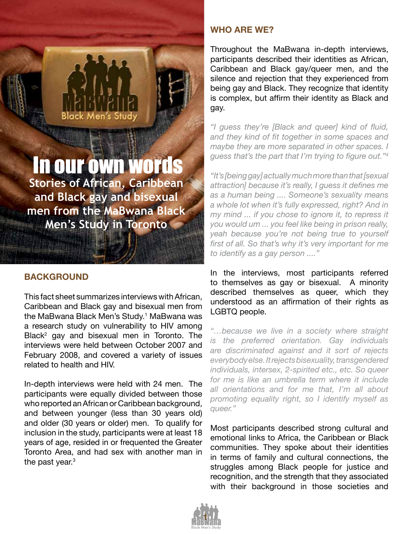# In our own words **Stories of African, Caribbean**

Men

**and Black gay and bisexual men from the MaBwana Black Men's Study in Toronto**

## **BACKGROUND**

This fact sheet summarizes interviews with African, Caribbean and Black gay and bisexual men from the MaBwana Black Men's Study.<sup>1</sup> MaBwana was a research study on vulnerability to HIV among Black<sup>2</sup> gay and bisexual men in Toronto. The interviews were held between October 2007 and February 2008, and covered a variety of issues related to health and HIV.

In-depth interviews were held with 24 men. The participants were equally divided between those who reported an African or Caribbean background, and between younger (less than 30 years old) and older (30 years or older) men. To qualify for inclusion in the study, participants were at least 18 years of age, resided in or frequented the Greater Toronto Area, and had sex with another man in the past year. $3$ 

## **WHO ARE WE?**

Throughout the MaBwana in-depth interviews, participants described their identities as African, Caribbean and Black gay/queer men, and the silence and rejection that they experienced from being gay and Black. They recognize that identity is complex, but affirm their identity as Black and gay.

*"I guess they're [Black and queer] kind of fluid, and they kind of fit together in some spaces and maybe they are more separated in other spaces. I guess that's the part that I'm trying to figure out."<sup>4</sup>*

*"It's [being gay] actually much more than that [sexual attraction] because it's really, I guess it defines me as a human being .... Someone's sexuality means a whole lot when it's fully expressed, right? And in my mind ... if you chose to ignore it, to repress it you would um ... you feel like being in prison really, yeah because you're not being true to yourself first of all. So that's why it's very important for me to identify as a gay person ...."*

In the interviews, most participants referred to themselves as gay or bisexual. A minority described themselves as queer, which they understood as an affirmation of their rights as LGBTQ people.

*"…because we live in a society where straight is the preferred orientation. Gay individuals are discriminated against and it sort of rejects everybody else. It rejects bisexuality, transgendered individuals, intersex, 2-spirited etc., etc. So queer for me is like an umbrella term where it include all orientations and for me that, I'm all about promoting equality right, so I identify myself as queer."* 

Most participants described strong cultural and emotional links to Africa, the Caribbean or Black communities. They spoke about their identities in terms of family and cultural connections, the struggles among Black people for justice and recognition, and the strength that they associated with their background in those societies and

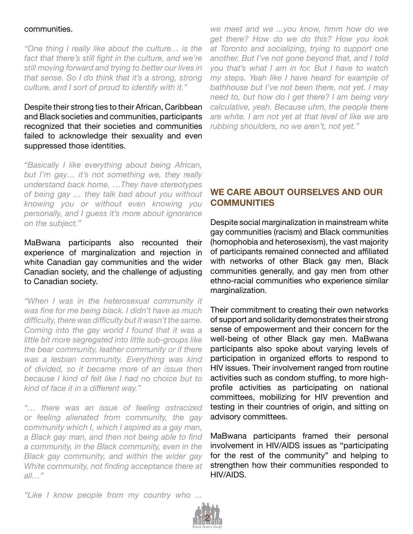#### communities.

*"One thing I really like about the culture… is the*  fact that there's still fight in the culture, and we're *still moving forward and trying to better our lives in that sense. So I do think that it's a strong, strong culture, and I sort of proud to identify with it."* 

Despite their strong ties to their African, Caribbean and Black societies and communities, participants recognized that their societies and communities failed to acknowledge their sexuality and even suppressed those identities.

*"Basically I like everything about being African, but I'm gay… it's not something we, they really understand back home. …They have stereotypes of being gay … they talk bad about you without knowing you or without even knowing you personally, and I guess it's more about ignorance on the subject."*

MaBwana participants also recounted their experience of marginalization and rejection in white Canadian gay communities and the wider Canadian society, and the challenge of adjusting to Canadian society.

*"When I was in the heterosexual community it was fine for me being black. I didn't have as much difficulty, there was difficulty but it wasn't the same. Coming into the gay world I found that it was a little bit more segregated into little sub-groups like the bear community, leather community or if there was a lesbian community. Everything was kind of divided, so it became more of an issue then because I kind of felt like I had no choice but to kind of face it in a different way."*

*"… there was an issue of feeling ostracized or feeling alienated from community, the gay community which I, which I aspired as a gay man, a Black gay man, and then not being able to find a community, in the Black community, even in the Black gay community, and within the wider gay White community, not finding acceptance there at all…"*

*we meet and we ...you know, hmm how do we get there? How do we do this? How you look at Toronto and socializing, trying to support one another. But I've not gone beyond that, and I told you that's what I am in for. But I have to watch my steps. Yeah like I have heard for example of bathhouse but I've not been there, not yet. I may need to, but how do I get there? I am being very calculative, yeah. Because uhm, the people there are white. I am not yet at that level of like we are rubbing shoulders, no we aren't, not yet."*

# **WE CARE ABOUT OURSELVES AND OUR COMMUNITIES**

Despite social marginalization in mainstream white gay communities (racism) and Black communities (homophobia and heterosexism), the vast majority of participants remained connected and affiliated with networks of other Black gay men, Black communities generally, and gay men from other ethno-racial communities who experience similar marginalization.

Their commitment to creating their own networks of support and solidarity demonstrates their strong sense of empowerment and their concern for the well-being of other Black gay men. MaBwana participants also spoke about varying levels of participation in organized efforts to respond to HIV issues. Their involvement ranged from routine activities such as condom stuffing, to more highprofile activities as participating on national committees, mobilizing for HIV prevention and testing in their countries of origin, and sitting on advisory committees.

MaBwana participants framed their personal involvement in HIV/AIDS issues as "participating for the rest of the community" and helping to strengthen how their communities responded to HIV/AIDS.

*"Like I know people from my country who ...* 

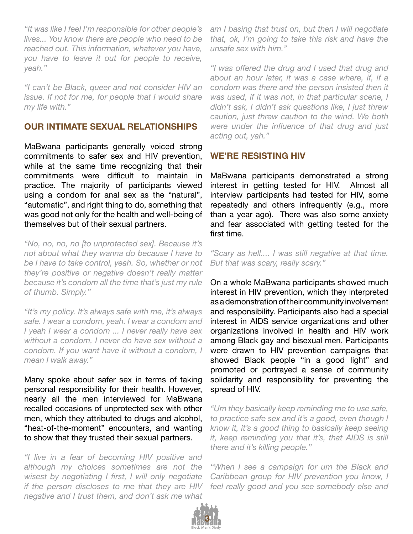*"It was like I feel I'm responsible for other people's lives... You know there are people who need to be reached out. This information, whatever you have, you have to leave it out for people to receive, yeah."*

*"I can't be Black, queer and not consider HIV an issue. If not for me, for people that I would share my life with."* 

#### **OUR INTIMATE SEXUAL RELATIONSHIPS**

MaBwana participants generally voiced strong commitments to safer sex and HIV prevention, while at the same time recognizing that their commitments were difficult to maintain in practice. The majority of participants viewed using a condom for anal sex as the "natural", "automatic", and right thing to do, something that was good not only for the health and well-being of themselves but of their sexual partners.

*"No, no, no, no [to unprotected sex]. Because it's not about what they wanna do because I have to be I have to take control, yeah. So, whether or not they're positive or negative doesn't really matter because it's condom all the time that's just my rule of thumb. Simply."*

*"It's my policy. It's always safe with me, it's always safe. I wear a condom, yeah. I wear a condom and I yeah I wear a condom ... I never really have sex without a condom, I never do have sex without a condom. If you want have it without a condom, I mean I walk away."*

Many spoke about safer sex in terms of taking personal responsibility for their health. However, nearly all the men interviewed for MaBwana recalled occasions of unprotected sex with other men, which they attributed to drugs and alcohol, "heat-of-the-moment" encounters, and wanting to show that they trusted their sexual partners.

*"I live in a fear of becoming HIV positive and although my choices sometimes are not the wisest by negotiating I first, I will only negotiate if the person discloses to me that they are HIV negative and I trust them, and don't ask me what* 

*am I basing that trust on, but then I will negotiate that, ok, I'm going to take this risk and have the unsafe sex with him."*

*"I was offered the drug and I used that drug and about an hour later, it was a case where, if, if a condom was there and the person insisted then it was used, if it was not, in that particular scene, I didn't ask, I didn't ask questions like, I just threw caution, just threw caution to the wind. We both were under the influence of that drug and just acting out, yah."*

#### **WE'RE RESISTING HIV**

MaBwana participants demonstrated a strong interest in getting tested for HIV. Almost all interview participants had tested for HIV, some repeatedly and others infrequently (e.g., more than a year ago). There was also some anxiety and fear associated with getting tested for the first time.

*"Scary as hell.... I was still negative at that time. But that was scary, really scary."*

On a whole MaBwana participants showed much interest in HIV prevention, which they interpreted as a demonstration of their community involvement and responsibility. Participants also had a special interest in AIDS service organizations and other organizations involved in health and HIV work among Black gay and bisexual men. Participants were drawn to HIV prevention campaigns that showed Black people "in a good light" and promoted or portrayed a sense of community solidarity and responsibility for preventing the spread of HIV.

*"Um they basically keep reminding me to use safe, to practice safe sex and it's a good, even though I know it, it's a good thing to basically keep seeing it, keep reminding you that it's, that AIDS is still there and it's killing people."*

*"When I see a campaign for um the Black and Caribbean group for HIV prevention you know, I feel really good and you see somebody else and*